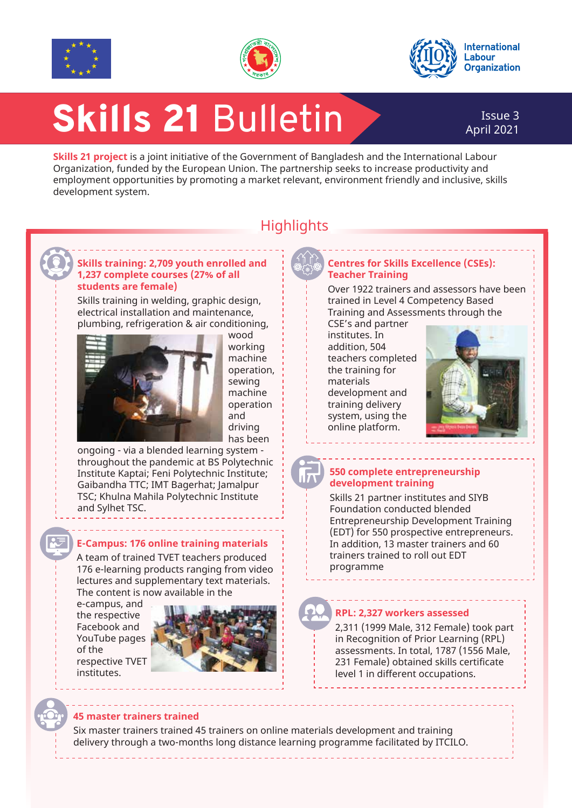





# Skills 21 Bulletin

## April 2021

**Skills 21 project** is a joint initiative of the Government of Bangladesh and the International Labour Organization, funded by the European Union. The partnership seeks to increase productivity and employment opportunities by promoting a market relevant, environment friendly and inclusive, skills development system.



### **Highlights**

#### **Skills training: 2,709 youth enrolled and 1,237 complete courses (27% of all students are female)**

Skills training in welding, graphic design, electrical installation and maintenance, plumbing, refrigeration & air conditioning,



wood working machine operation, sewing machine operation and driving has been

ongoing - via a blended learning system throughout the pandemic at BS Polytechnic Institute Kaptai; Feni Polytechnic Institute; Gaibandha TTC; IMT Bagerhat; Jamalpur TSC; Khulna Mahila Polytechnic Institute and Sylhet TSC.

#### **E-Campus: 176 online training materials**

A team of trained TVET teachers produced 176 e-learning products ranging from video lectures and supplementary text materials. The content is now available in the

e-campus, and the respective Facebook and YouTube pages of the respective TVET institutes.



#### **Centres for Skills Excellence (CSEs): Teacher Training**

Over 1922 trainers and assessors have been trained in Level 4 Competency Based Training and Assessments through the

CSE's and partner institutes. In addition, 504 teachers completed the training for materials development and training delivery system, using the online platform.



#### **550 complete entrepreneurship development training**

Skills 21 partner institutes and SIYB Foundation conducted blended Entrepreneurship Development Training (EDT) for 550 prospective entrepreneurs. In addition, 13 master trainers and 60 trainers trained to roll out EDT programme

#### **RPL: 2,327 workers assessed**

2,311 (1999 Male, 312 Female) took part in Recognition of Prior Learning (RPL) assessments. In total, 1787 (1556 Male, 231 Female) obtained skills certificate level 1 in different occupations.

#### **45 master trainers trained**

Six master trainers trained 45 trainers on online materials development and training delivery through a two-months long distance learning programme facilitated by ITCILO.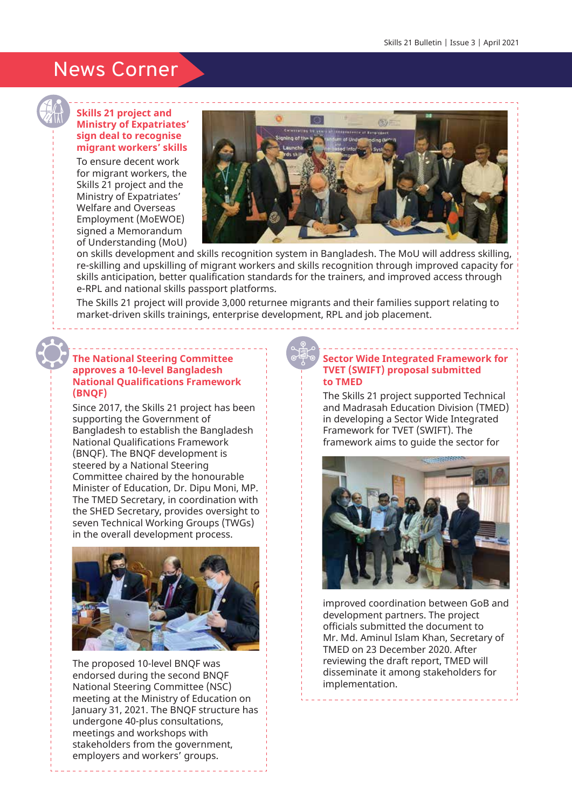## News Corner

#### **Skills 21 project and Ministry of Expatriates' sign deal to recognise migrant workers' skills**

To ensure decent work for migrant workers, the Skills 21 project and the Ministry of Expatriates' Welfare and Overseas Employment (MoEWOE) signed a Memorandum of Understanding (MoU)



on skills development and skills recognition system in Bangladesh. The MoU will address skilling, re-skilling and upskilling of migrant workers and skills recognition through improved capacity for skills anticipation, better qualification standards for the trainers, and improved access through e-RPL and national skills passport platforms.

The Skills 21 project will provide 3,000 returnee migrants and their families support relating to market-driven skills trainings, enterprise development, RPL and job placement.

#### **The National Steering Committee approves a 10-level Bangladesh National Qualifications Framework (BNQF)**

Since 2017, the Skills 21 project has been supporting the Government of Bangladesh to establish the Bangladesh National Qualifications Framework (BNQF). The BNQF development is steered by a National Steering Committee chaired by the honourable Minister of Education, Dr. Dipu Moni, MP. The TMED Secretary, in coordination with the SHED Secretary, provides oversight to seven Technical Working Groups (TWGs) in the overall development process.



The proposed 10-level BNQF was endorsed during the second BNQF National Steering Committee (NSC) meeting at the Ministry of Education on January 31, 2021. The BNQF structure has undergone 40-plus consultations, meetings and workshops with stakeholders from the government, employers and workers' groups.

#### **Sector Wide Integrated Framework for TVET (SWIFT) proposal submitted to TMED**

The Skills 21 project supported Technical and Madrasah Education Division (TMED) in developing a Sector Wide Integrated Framework for TVET (SWIFT). The framework aims to guide the sector for



improved coordination between GoB and development partners. The project officials submitted the document to Mr. Md. Aminul Islam Khan, Secretary of TMED on 23 December 2020. After reviewing the draft report, TMED will disseminate it among stakeholders for implementation.

\_\_\_\_\_\_\_\_\_\_\_\_\_\_\_\_\_\_\_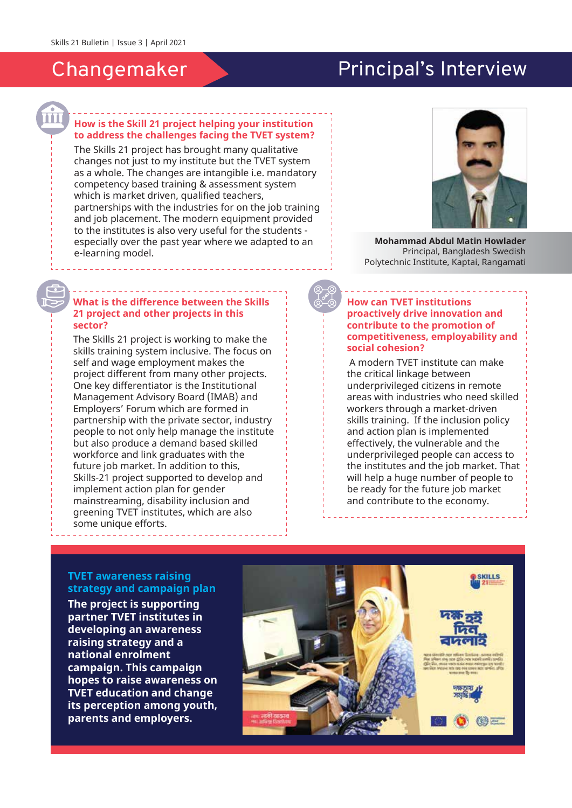## Changemaker

## Principal's Interview

#### **How is the Skill 21 project helping your institution to address the challenges facing the TVET system?**

The Skills 21 project has brought many qualitative changes not just to my institute but the TVET system as a whole. The changes are intangible i.e. mandatory competency based training & assessment system which is market driven, qualified teachers, partnerships with the industries for on the job training and job placement. The modern equipment provided to the institutes is also very useful for the students especially over the past year where we adapted to an e-learning model.

#### **What is the difference between the Skills 21 project and other projects in this sector?**

The Skills 21 project is working to make the skills training system inclusive. The focus on self and wage employment makes the project different from many other projects. One key differentiator is the Institutional Management Advisory Board (IMAB) and Employers' Forum which are formed in partnership with the private sector, industry people to not only help manage the institute but also produce a demand based skilled workforce and link graduates with the future job market. In addition to this, Skills-21 project supported to develop and implement action plan for gender mainstreaming, disability inclusion and greening TVET institutes, which are also some unique efforts.



**Mohammad Abdul Matin Howlader** Principal, Bangladesh Swedish Polytechnic Institute, Kaptai, Rangamati

#### **How can TVET institutions proactively drive innovation and contribute to the promotion of competitiveness, employability and social cohesion?**

 A modern TVET institute can make the critical linkage between underprivileged citizens in remote areas with industries who need skilled workers through a market-driven skills training. If the inclusion policy and action plan is implemented effectively, the vulnerable and the underprivileged people can access to the institutes and the job market. That will help a huge number of people to be ready for the future job market and contribute to the economy.

#### **TVET awareness raising strategy and campaign plan**

**The project is supporting partner TVET institutes in developing an awareness raising strategy and a national enrolment campaign. This campaign hopes to raise awareness on TVET education and change its perception among youth, parents and employers.**